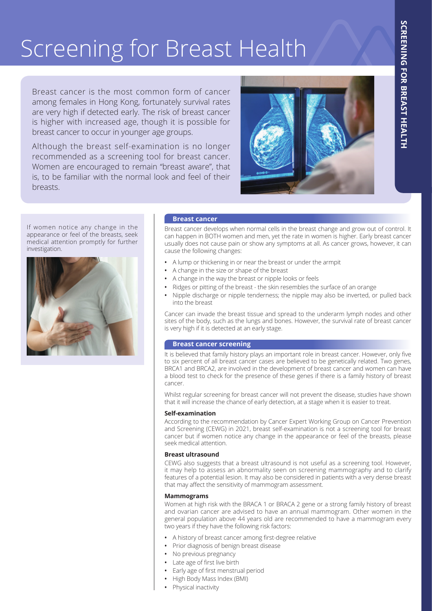# **Screening for Breast Health**

Breast cancer is the most common form of cancer among females in Hong Kong, fortunately survival rates are very high if detected early. The risk of breast cancer is higher with increased age, though it is possible for breast cancer to occur in younger age groups.

Although the breast self-examination is no longer recommended as a screening tool for breast cancer. Women are encouraged to remain "breast aware", that is, to be familiar with the normal look and feel of their breasts.



If women notice any change in the appearance or feel of the breasts, seek medical attention promptly for further investigation.



### **Breast cancer**

Breast cancer develops when normal cells in the breast change and grow out of control. It can happen in BOTH women and men, yet the rate in women is higher. Early breast cancer usually does not cause pain or show any symptoms at all. As cancer grows, however, it can cause the following changes:

- **•** A lump or thickening in or near the breast or under the armpit
- **•** A change in the size or shape of the breast
- **•** A change in the way the breast or nipple looks or feels
	- **•** Ridges or pitting of the breast the skin resembles the surface of an orange
- **•** Nipple discharge or nipple tenderness; the nipple may also be inverted, or pulled back into the breast

Cancer can invade the breast tissue and spread to the underarm lymph nodes and other sites of the body, such as the lungs and bones. However, the survival rate of breast cancer is very high if it is detected at an early stage.

### **Breast cancer screening**

It is believed that family history plays an important role in breast cancer. However, only five to six percent of all breast cancer cases are believed to be genetically related. Two genes, BRCA1 and BRCA2, are involved in the development of breast cancer and women can have a blood test to check for the presence of these genes if there is a family history of breast cancer.

Whilst regular screening for breast cancer will not prevent the disease, studies have shown that it will increase the chance of early detection, at a stage when it is easier to treat.

### **Self-examination**

According to the recommendation by Cancer Expert Working Group on Cancer Prevention and Screening (CEWG) in 2021, breast self-examination is not a screening tool for breast cancer but if women notice any change in the appearance or feel of the breasts, please seek medical attention.

### **Breast ultrasound**

CEWG also suggests that a breast ultrasound is not useful as a screening tool. However, it may help to assess an abnormality seen on screening mammography and to clarify features of a potential lesion. It may also be considered in patients with a very dense breast that may affect the sensitivity of mammogram assessment.

### **Mammograms**

Women at high risk with the BRACA 1 or BRACA 2 gene or a strong family history of breast and ovarian cancer are advised to have an annual mammogram. Other women in the general population above 44 years old are recommended to have a mammogram every two years if they have the following risk factors:

- **•** A history of breast cancer among first-degree relative
- **•** Prior diagnosis of benign breast disease
- **•** No previous pregnancy
- **•** Late age of first live birth
- **•** Early age of first menstrual period
- **•** High Body Mass Index (BMI)
- **•** Physical inactivity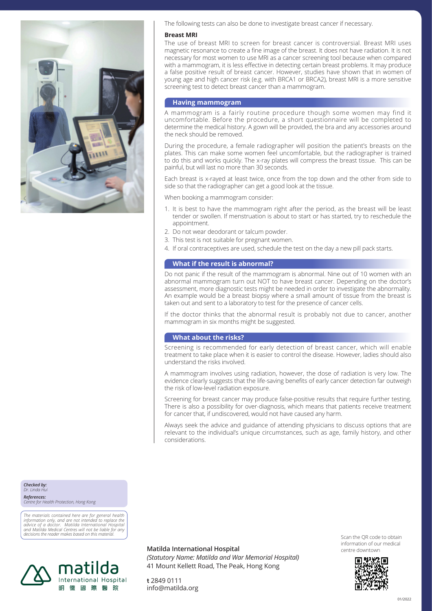

The following tests can also be done to investigate breast cancer if necessary.

### **Breast MRI**

The use of breast MRI to screen for breast cancer is controversial. Breast MRI uses magnetic resonance to create a fine image of the breast. It does not have radiation. It is not necessary for most women to use MRI as a cancer screening tool because when compared with a mammogram, it is less effective in detecting certain breast problems. It may produce a false positive result of breast cancer. However, studies have shown that in women of young age and high cancer risk (e.g. with BRCA1 or BRCA2), breast MRI is a more sensitive screening test to detect breast cancer than a mammogram.

### **Having mammogram**

A mammogram is a fairly routine procedure though some women may find it uncomfortable. Before the procedure, a short questionnaire will be completed to determine the medical history. A gown will be provided, the bra and any accessories around the neck should be removed.

During the procedure, a female radiographer will position the patient's breasts on the plates. This can make some women feel uncomfortable, but the radiographer is trained to do this and works quickly. The x-ray plates will compress the breast tissue. This can be painful, but will last no more than 30 seconds.

Each breast is x-rayed at least twice, once from the top down and the other from side to side so that the radiographer can get a good look at the tissue.

When booking a mammogram consider:

- 1. It is best to have the mammogram right after the period, as the breast will be least tender or swollen. If menstruation is about to start or has started, try to reschedule the appointment.
- 2. Do not wear deodorant or talcum powder.
- 3. This test is not suitable for pregnant women.
- 4. If oral contraceptives are used, schedule the test on the day a new pill pack starts.

#### **What if the result is abnormal?**

Do not panic if the result of the mammogram is abnormal. Nine out of 10 women with an abnormal mammogram turn out NOT to have breast cancer. Depending on the doctor's assessment, more diagnostic tests might be needed in order to investigate the abnormality. An example would be a breast biopsy where a small amount of tissue from the breast is taken out and sent to a laboratory to test for the presence of cancer cells.

If the doctor thinks that the abnormal result is probably not due to cancer, another mammogram in six months might be suggested.

### **What about the risks?**

Screening is recommended for early detection of breast cancer, which will enable treatment to take place when it is easier to control the disease. However, ladies should also understand the risks involved.

A mammogram involves using radiation, however, the dose of radiation is very low. The evidence clearly suggests that the life-saving benefits of early cancer detection far outweigh the risk of low-level radiation exposure.

Screening for breast cancer may produce false-positive results that require further testing. There is also a possibility for over-diagnosis, which means that patients receive treatment for cancer that, if undiscovered, would not have caused any harm.

Always seek the advice and guidance of attending physicians to discuss options that are relevant to the individual's unique circumstances, such as age, family history, and other considerations.

*Checked by: Dr. Linda Hui References: Centre for Health Protection, Hong Kong*

*The materials contained here are for general health information only, and are not intended to replace the advice of a doctor. Matilda International Hospital and Matilda Medical Centres will not be liable for any decisions the reader makes based on this material.* 



**Matilda International Hospital**

*(Statutory Name: Matilda and War Memorial Hospital)* 41 Mount Kellett Road, The Peak, Hong Kong

Scan the QR code to obtain information of our medical centre downtown



**t** 2849 0111 info@matilda.org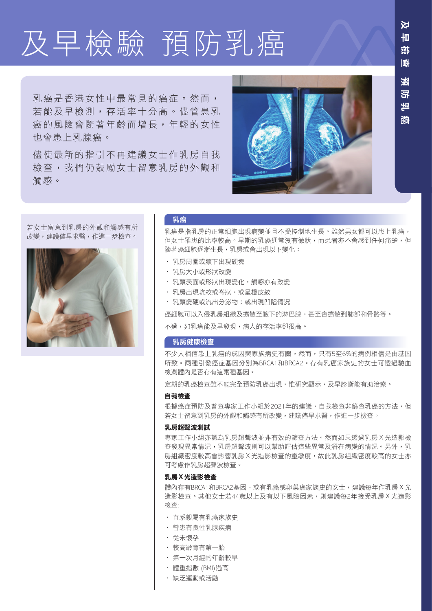# 凶 及 早 徳 所 預 防 判 柵 蓹

# 及早檢驗 預防乳癌

乳癌是香港女性中最常見的癌症。然而, 若能及早檢測,存活率十分高。儘管患乳 癌的風險會隨著年齡而增長,年輕的女性 也會患上乳腺癌。

儘使最新的指引不再建議女士作乳房自我 檢查,我們仍鼓勵女士留意乳房的外觀和 觸感。



湔

若女士留意到乳房的外觀和觸感有所 改變,建議儘早求醫,作進一步檢查。



# 乳癌

乳癌是指乳房的正常細胞出現病變並且不受控制地生長。雖然男女都可以患上乳癌, 但女十罹患的比率較高。早期的乳癌通常沒有徵狀,而患者亦不會感到任何痛楚,但 隨著癌細胞逐漸生長, 乳房或會出現以下變化:

- • 乳房周圍或腋下出現硬塊
- • 乳房大小或形狀改變
- 乳頭表面或形狀出現變化,觸感亦有改變
- 乳房出現坑紋或脊狀,或呈橙皮紋
- 乳頭變硬或流出分泌物;或出現凹陷情況

癌細胞可以入侵乳房組織及擴散至腋下的淋巴腺,甚至會擴散到肺部和骨骼等。

不過,如乳癌能及早發現,病人的存活率卻很高。

## 乳房健康檢查

不少人相信患上乳癌的成因與家族病史有關。然而,只有5至6%的病例相信是由基因 所致。兩種引發癌症基因分別為BRCA1和BRCA2。存有乳癌家族史的女士可透過驗血 檢測體內是否存有這兩種基因。

定期的乳癌檢查雖不能完全預防乳癌出現,惟研究顯示,及早診斷能有助治療。

### 自我檢查

根據癌症預防及普查專家工作小組於2021年的建議,自我檢查非篩查乳癌的方法,但 若女士留意到乳房的外觀和觸感有所改變,建議儘早求醫,作進一步檢查。

### 乳房超聲波測試

專家工作小組亦認為乳房超聲波並非有效的篩查方法。然而如果透過乳房X光造影檢 查發現異常情況,乳房超聲波則可以幫助評估這些異常及潛在病變的情況。另外,乳 房組織密度較高會影響乳房X光造影檢查的靈敏度,故此乳房組織密度較高的女士亦 可考慮作乳房超聲波檢查。

### 乳房X光造影檢查

體內存有BRCA1和BRCA2基因、或有乳癌或卵巢癌家族史的女士,建議每年作乳房X光 造影檢查。其他女士若44歲以上及有以下風險因素,則建議每2年接受乳房X光造影 檢查:

- • 直系親屬有乳癌家族史
- • 曾患有良性乳腺疾病
- • 從未懷孕
- • 較高齡育有第一胎
- • 第一次月經的年齡較早
- • 體重指數 (BMI)過高
- • 缺乏運動或活動